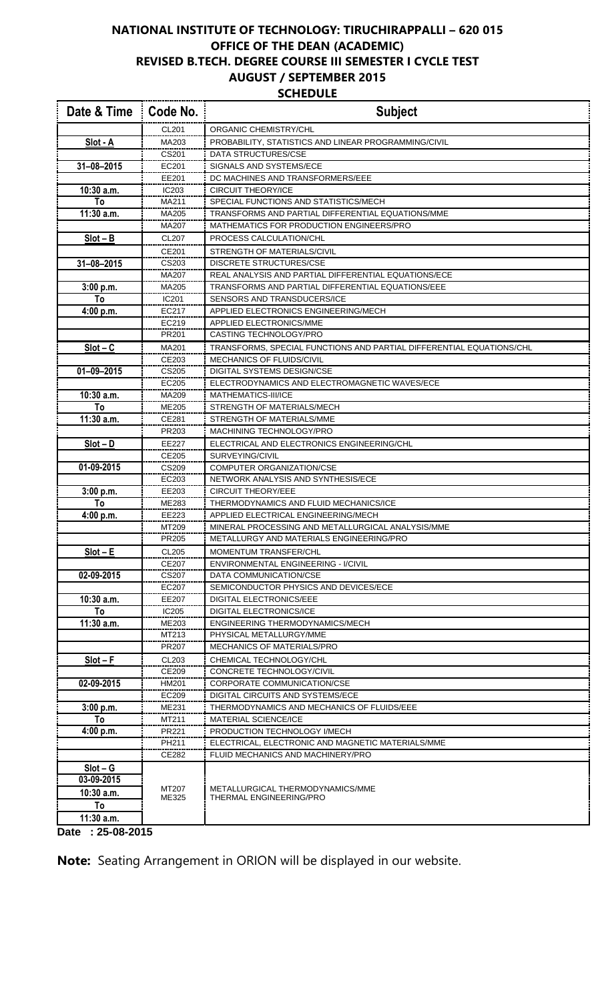## **NATIONAL INSTITUTE OF TECHNOLOGY: TIRUCHIRAPPALLI – 620 015 OFFICE OF THE DEAN (ACADEMIC) REVISED B.TECH. DEGREE COURSE III SEMESTER I CYCLE TEST AUGUST / SEPTEMBER 2015 SCHEDULE**

| Date & Time      | Code No.       | <b>Subject</b>                                                       |
|------------------|----------------|----------------------------------------------------------------------|
|                  | CL201          | ORGANIC CHEMISTRY/CHL                                                |
| Slot - A         | MA203          | PROBABILITY, STATISTICS AND LINEAR PROGRAMMING/CIVIL                 |
|                  | CS201          | DATA STRUCTURES/CSE                                                  |
| 31-08-2015       | EC201          | SIGNALS AND SYSTEMS/ECE                                              |
|                  | EE201          | DC MACHINES AND TRANSFORMERS/EEE                                     |
| 10:30 a.m.       | IC203          | <b>CIRCUIT THEORY/ICE</b>                                            |
| To               | MA211          | SPECIAL FUNCTIONS AND STATISTICS/MECH                                |
| 11:30 a.m.       | MA205          | TRANSFORMS AND PARTIAL DIFFERENTIAL EQUATIONS/MME                    |
|                  | MA207          | MATHEMATICS FOR PRODUCTION ENGINEERS/PRO                             |
| $Slot - B$       | <b>CL207</b>   | PROCESS CALCULATION/CHL                                              |
|                  | CE201          | STRENGTH OF MATERIALS/CIVIL                                          |
| $31 - 08 - 2015$ | CS203          | <b>DISCRETE STRUCTURES/CSE</b>                                       |
|                  | MA207          | REAL ANALYSIS AND PARTIAL DIFFERENTIAL EQUATIONS/ECE                 |
| 3:00 p.m.        | MA205          | TRANSFORMS AND PARTIAL DIFFERENTIAL EQUATIONS/EEE                    |
| To               | IC201          | SENSORS AND TRANSDUCERS/ICE                                          |
| 4:00 p.m.        | EC217          | APPLIED ELECTRONICS ENGINEERING/MECH                                 |
|                  | EC219          | <b>APPLIED ELECTRONICS/MME</b>                                       |
|                  | PR201          | CASTING TECHNOLOGY/PRO                                               |
| $Slot - C$       | MA201          | TRANSFORMS, SPECIAL FUNCTIONS AND PARTIAL DIFFERENTIAL EQUATIONS/CHL |
|                  | CE203          | MECHANICS OF FLUIDS/CIVIL                                            |
| $01 - 09 - 2015$ | CS205          | <b>DIGITAL SYSTEMS DESIGN/CSE</b>                                    |
|                  | EC205          | ELECTRODYNAMICS AND ELECTROMAGNETIC WAVES/ECE                        |
| 10:30 a.m.       | MA209          | MATHEMATICS-III/ICE                                                  |
| To               | ME205          | STRENGTH OF MATERIALS/MECH                                           |
| 11:30 a.m.       | CE281          | STRENGTH OF MATERIALS/MME                                            |
|                  | PR203          | MACHINING TECHNOLOGY/PRO                                             |
| $Slot - D$       | EE227          | ELECTRICAL AND ELECTRONICS ENGINEERING/CHL                           |
|                  | CE205          | SURVEYING/CIVIL                                                      |
| 01-09-2015       | CS209<br>EC203 | COMPUTER ORGANIZATION/CSE                                            |
|                  | EE203          | NETWORK ANALYSIS AND SYNTHESIS/ECE<br><b>CIRCUIT THEORY/EEE</b>      |
| 3:00 p.m.<br>То  | ME283          | THERMODYNAMICS AND FLUID MECHANICS/ICE                               |
| 4:00 p.m.        | EE223          | APPLIED ELECTRICAL ENGINEERING/MECH                                  |
|                  | MT209          | MINERAL PROCESSING AND METALLURGICAL ANALYSIS/MME                    |
|                  | PR205          | METALLURGY AND MATERIALS ENGINEERING/PRO                             |
| $Slot - E$       | <b>CL205</b>   | MOMENTUM TRANSFER/CHL                                                |
|                  | CE207          | <b>ENVIRONMENTAL ENGINEERING - I/CIVIL</b>                           |
| 02-09-2015       | CS207          | DATA COMMUNICATION/CSE                                               |
|                  | EC207          | SEMICONDUCTOR PHYSICS AND DEVICES/ECE                                |
| 10:30 a.m.       | EE207          | DIGITAL ELECTRONICS/EEE                                              |
| To               | IC205          | <b>DIGITAL ELECTRONICS/ICE</b>                                       |
| 11:30 a.m.       | ME203          | ENGINEERING THERMODYNAMICS/MECH                                      |
|                  | MT213          | PHYSICAL METALLURGY/MME                                              |
|                  | PR207          | <b>MECHANICS OF MATERIALS/PRO</b>                                    |
| $Slot - F$       | CL203          | CHEMICAL TECHNOLOGY/CHL                                              |
|                  | CE209          | CONCRETE TECHNOLOGY/CIVIL                                            |
| 02-09-2015       | <b>HM201</b>   | CORPORATE COMMUNICATION/CSE                                          |
|                  | EC209          | DIGITAL CIRCUITS AND SYSTEMS/ECE                                     |
| 3:00 p.m.        | ME231          | THERMODYNAMICS AND MECHANICS OF FLUIDS/EEE                           |
| To               | MT211          | <b>MATERIAL SCIENCE/ICE</b>                                          |
| 4:00 p.m.        | PR221          | PRODUCTION TECHNOLOGY I/MECH                                         |
|                  | PH211          | ELECTRICAL, ELECTRONIC AND MAGNETIC MATERIALS/MME                    |
|                  | CE282          | FLUID MECHANICS AND MACHINERY/PRO                                    |
| $Slot - G$       |                |                                                                      |
| 03-09-2015       |                |                                                                      |
| $10:30$ a.m.     | MT207<br>ME325 | METALLURGICAL THERMODYNAMICS/MME<br>THERMAL ENGINEERING/PRO          |
| To               |                |                                                                      |
| 11:30 a.m.       |                |                                                                      |
| Date: 25-08-2015 |                |                                                                      |

**Note:** Seating Arrangement in ORION will be displayed in our website.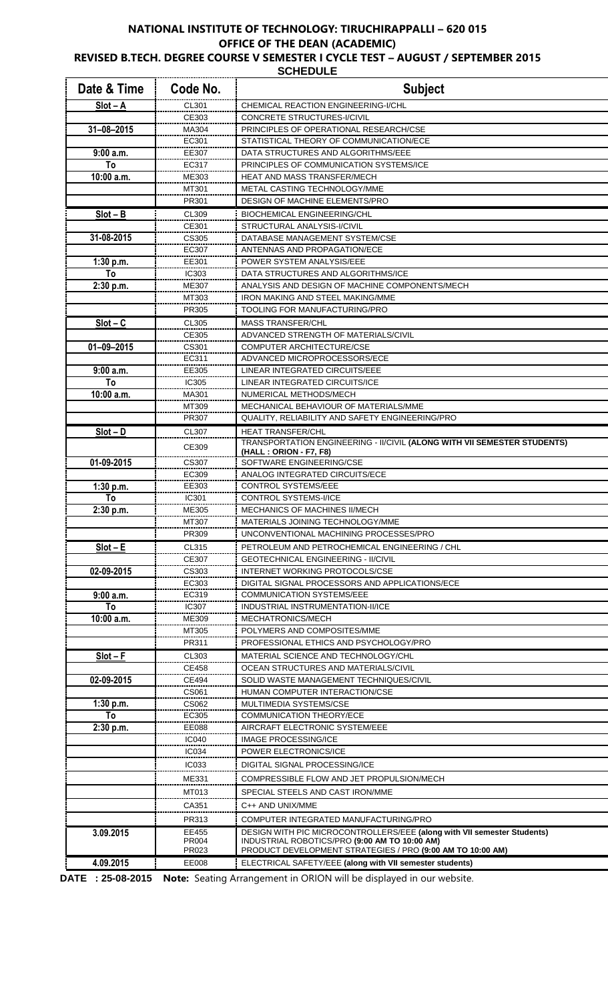## **NATIONAL INSTITUTE OF TECHNOLOGY: TIRUCHIRAPPALLI – 620 015 OFFICE OF THE DEAN (ACADEMIC) REVISED B.TECH. DEGREE COURSE V SEMESTER I CYCLE TEST – AUGUST / SEPTEMBER 2015**

**SCHEDULE** 

| Date & Time      | Code No.       | <b>Subject</b>                                                                                                           |
|------------------|----------------|--------------------------------------------------------------------------------------------------------------------------|
| $Slot - A$       | CL301          | CHEMICAL REACTION ENGINEERING-I/CHL                                                                                      |
|                  | CE303          | CONCRETE STRUCTURES-I/CIVIL                                                                                              |
| $31 - 08 - 2015$ | MA304          | PRINCIPLES OF OPERATIONAL RESEARCH/CSE                                                                                   |
|                  | EC301          | STATISTICAL THEORY OF COMMUNICATION/ECE                                                                                  |
| 9:00a.m.         | EE307          | DATA STRUCTURES AND ALGORITHMS/EEE                                                                                       |
| To               | EC317          | PRINCIPLES OF COMMUNICATION SYSTEMS/ICE                                                                                  |
| 10:00 a.m.       | ME303          | <b>HEAT AND MASS TRANSFER/MECH</b>                                                                                       |
|                  | MT301<br>PR301 | METAL CASTING TECHNOLOGY/MME<br>DESIGN OF MACHINE ELEMENTS/PRO                                                           |
| $Slot - B$       | CL309          | <b>BIOCHEMICAL ENGINEERING/CHL</b>                                                                                       |
|                  | CE301          | STRUCTURAL ANALYSIS-I/CIVIL                                                                                              |
| 31-08-2015       | CS305          | DATABASE MANAGEMENT SYSTEM/CSE                                                                                           |
|                  | EC307          | ANTENNAS AND PROPAGATION/ECE                                                                                             |
| 1:30 p.m.        | EE301          | POWER SYSTEM ANALYSIS/EEE                                                                                                |
| To               | <b>IC303</b>   | DATA STRUCTURES AND ALGORITHMS/ICE                                                                                       |
| 2:30 p.m.        | ME307          | ANALYSIS AND DESIGN OF MACHINE COMPONENTS/MECH                                                                           |
|                  | MT303          | <b>IRON MAKING AND STEEL MAKING/MME</b>                                                                                  |
|                  | PR305          | TOOLING FOR MANUFACTURING/PRO                                                                                            |
| $Slot - C$       | CL305          | <b>MASS TRANSFER/CHL</b>                                                                                                 |
|                  | CE305          | ADVANCED STRENGTH OF MATERIALS/CIVIL                                                                                     |
| $01 - 09 - 2015$ | CS301          | <b>COMPUTER ARCHITECTURE/CSE</b>                                                                                         |
|                  | EC311          | ADVANCED MICROPROCESSORS/ECE                                                                                             |
| 9:00a.m.         | EE305          | LINEAR INTEGRATED CIRCUITS/EEE                                                                                           |
| To               | IC305          | LINEAR INTEGRATED CIRCUITS/ICE                                                                                           |
| 10:00 a.m.       | MA301          | NUMERICAL METHODS/MECH                                                                                                   |
|                  | MT309<br>PR307 | MECHANICAL BEHAVIOUR OF MATERIALS/MME<br>QUALITY, RELIABILITY AND SAFETY ENGINEERING/PRO                                 |
| $Slot - D$       | CL307          | <b>HEAT TRANSFER/CHL</b>                                                                                                 |
|                  |                | TRANSPORTATION ENGINEERING - II/CIVIL (ALONG WITH VII SEMESTER STUDENTS)                                                 |
|                  | CE309          | (HALL: ORION - F7, F8)                                                                                                   |
| 01-09-2015       | CS307          | SOFTWARE ENGINEERING/CSE                                                                                                 |
|                  | EC309          | ANALOG INTEGRATED CIRCUITS/ECE                                                                                           |
| 1:30 p.m.        | EE303          | <b>CONTROL SYSTEMS/EEE</b>                                                                                               |
| To               | IC301          | CONTROL SYSTEMS-I/ICE                                                                                                    |
| 2:30 p.m.        | ME305<br>M1307 | <b>MECHANICS OF MACHINES II/MECH</b><br>MATERIALS JOINING TECHNOLOGY/MME                                                 |
|                  | PR309          | UNCONVENTIONAL MACHINING PROCESSES/PRO                                                                                   |
| $Slot - E$       | CL315          | PETROLEUM AND PETROCHEMICAL ENGINEERING / CHL                                                                            |
|                  | CE307          | <b>GEOTECHNICAL ENGINEERING - II/CIVIL</b>                                                                               |
| 02-09-2015       | CS303          | INTERNET WORKING PROTOCOLS/CSE                                                                                           |
|                  | EC303          | DIGITAL SIGNAL PROCESSORS AND APPLICATIONS/ECE                                                                           |
| 9:00a.m.         | EC319          | <b>COMMUNICATION SYSTEMS/EEE</b>                                                                                         |
| To               | <b>IC307</b>   | INDUSTRIAL INSTRUMENTATION-II/ICE                                                                                        |
| $10:00$ a.m.     | ME309          | MECHATRONICS/MECH                                                                                                        |
|                  | MT305          | POLYMERS AND COMPOSITES/MME                                                                                              |
|                  | <b>PR311</b>   | PROFESSIONAL ETHICS AND PSYCHOLOGY/PRO                                                                                   |
| $Slot - F$       | CL303          | MATERIAL SCIENCE AND TECHNOLOGY/CHL                                                                                      |
|                  | <b>CE458</b>   | OCEAN STRUCTURES AND MATERIALS/CIVIL                                                                                     |
| 02-09-2015       | <b>CE494</b>   | SOLID WASTE MANAGEMENT TECHNIQUES/CIVIL                                                                                  |
| 1:30 p.m.        | CS061<br>CS062 | HUMAN COMPUTER INTERACTION/CSE<br>MULTIMEDIA SYSTEMS/CSE                                                                 |
| To               | EC305          | COMMUNICATION THEORY/ECE                                                                                                 |
| 2:30 p.m.        | <b>EE088</b>   | AIRCRAFT ELECTRONIC SYSTEM/EEE                                                                                           |
|                  | IC040          | <b>IMAGE PROCESSING/ICE</b>                                                                                              |
|                  | <b>IC034</b>   | POWER ELECTRONICS/ICE                                                                                                    |
|                  | <b>IC033</b>   | DIGITAL SIGNAL PROCESSING/ICE                                                                                            |
|                  | ME331          | COMPRESSIBLE FLOW AND JET PROPULSION/MECH                                                                                |
|                  | MT013          | SPECIAL STEELS AND CAST IRON/MME                                                                                         |
|                  | CA351          | C++ AND UNIX/MME                                                                                                         |
|                  | PR313          | COMPUTER INTEGRATED MANUFACTURING/PRO                                                                                    |
| 3.09.2015        | EE455<br>PR004 | DESIGN WITH PIC MICROCONTROLLERS/EEE (along with VII semester Students)<br>INDUSTRIAL ROBOTICS/PRO (9:00 AM TO 10:00 AM) |
|                  | PR023          | PRODUCT DEVELOPMENT STRATEGIES / PRO (9:00 AM TO 10:00 AM)                                                               |
| 4.09.2015        | EE008          | ELECTRICAL SAFETY/EEE (along with VII semester students)                                                                 |

**DATE : 25-08-2015 Note:** Seating Arrangement in ORION will be displayed in our website.